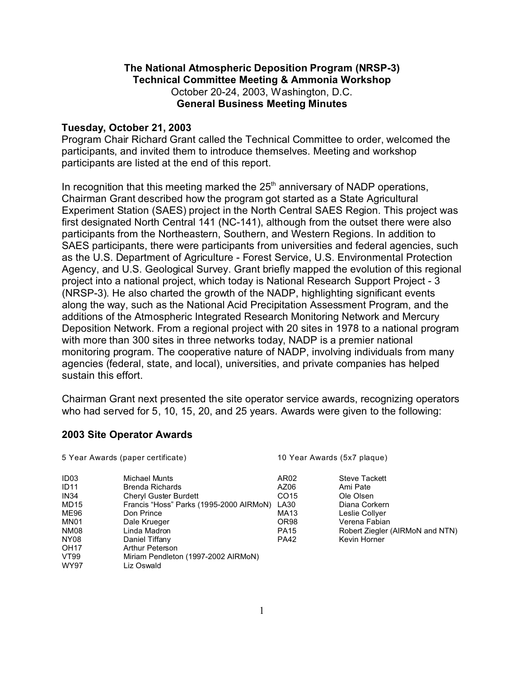## **The National Atmospheric Deposition Program (NRSP-3) Technical Committee Meeting & Ammonia Workshop** October 20-24, 2003, Washington, D.C. **General Business Meeting Minutes**

## **Tuesday, October 21, 2003**

Program Chair Richard Grant called the Technical Committee to order, welcomed the participants, and invited them to introduce themselves. Meeting and workshop participants are listed at the end of this report.

In recognition that this meeting marked the  $25<sup>th</sup>$  anniversary of NADP operations, Chairman Grant described how the program got started as a State Agricultural Experiment Station (SAES) project in the North Central SAES Region. This project was first designated North Central 141 (NC-141), although from the outset there were also participants from the Northeastern, Southern, and Western Regions. In addition to SAES participants, there were participants from universities and federal agencies, such as the U.S. Department of Agriculture - Forest Service, U.S. Environmental Protection Agency, and U.S. Geological Survey. Grant briefly mapped the evolution of this regional project into a national project, which today is National Research Support Project - 3 (NRSP-3). He also charted the growth of the NADP, highlighting significant events along the way, such as the National Acid Precipitation Assessment Program, and the additions of the Atmospheric Integrated Research Monitoring Network and Mercury Deposition Network. From a regional project with 20 sites in 1978 to a national program with more than 300 sites in three networks today, NADP is a premier national monitoring program. The cooperative nature of NADP, involving individuals from many agencies (federal, state, and local), universities, and private companies has helped sustain this effort.

Chairman Grant next presented the site operator service awards, recognizing operators who had served for 5, 10, 15, 20, and 25 years. Awards were given to the following:

### **2003 Site Operator Awards**

| 5 Year Awards (paper certificate) |                                                   | 10 Year Awards (5x7 plaque) |                                 |
|-----------------------------------|---------------------------------------------------|-----------------------------|---------------------------------|
| ID <sub>03</sub>                  | Michael Munts                                     | AR <sub>02</sub>            | <b>Steve Tackett</b>            |
| <b>ID11</b>                       | <b>Brenda Richards</b>                            | AZ06                        | Ami Pate                        |
| <b>IN34</b>                       | Cheryl Guster Burdett                             | CO <sub>15</sub>            | Ole Olsen                       |
| MD <sub>15</sub>                  | Francis "Hoss" Parks (1995-2000 AIRMoN)           | LA30                        | Diana Corkern                   |
| ME96                              | Don Prince                                        | <b>MA13</b>                 | Leslie Collyer                  |
| MN <sub>01</sub>                  | Dale Krueger                                      | OR <sub>98</sub>            | Verena Fabian                   |
| <b>NM08</b>                       | Linda Madron                                      | <b>PA15</b>                 | Robert Ziegler (AIRMoN and NTN) |
| NY08<br><b>OH17</b>               | Daniel Tiffany<br><b>Arthur Peterson</b>          | <b>PA42</b>                 | Kevin Horner                    |
| VT99<br><b>WY97</b>               | Miriam Pendleton (1997-2002 AIRMoN)<br>Liz Oswald |                             |                                 |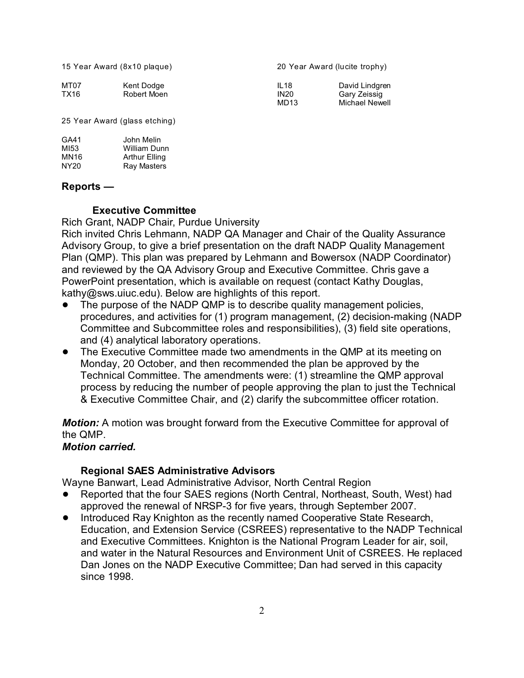15 Year Award (8x10 plaque) 20 Year Award (lucite trophy)

| MT07 | Kent Dodge  | IL <sub>18</sub> | David Lindgren |
|------|-------------|------------------|----------------|
| TX16 | Robert Moen | <b>IN20</b>      | Garv Zeissig   |
|      |             | MD <sub>13</sub> | Michael Newell |

25 Year Award (glass etching)

| GA41             | John Melin           |
|------------------|----------------------|
| MI53             | William Dunn         |
| MN16             | <b>Arthur Elling</b> |
| NY <sub>20</sub> | <b>Ray Masters</b>   |

### **Reports —**

## **Executive Committee**

Rich Grant, NADP Chair, Purdue University

Rich invited Chris Lehmann, NADP QA Manager and Chair of the Quality Assurance Advisory Group, to give a brief presentation on the draft NADP Quality Management Plan (QMP). This plan was prepared by Lehmann and Bowersox (NADP Coordinator) and reviewed by the QA Advisory Group and Executive Committee. Chris gave a PowerPoint presentation, which is available on request (contact Kathy Douglas, kathy@sws.uiuc.edu). Below are highlights of this report.

- The purpose of the NADP QMP is to describe quality management policies, procedures, and activities for (1) program management, (2) decision-making (NADP Committee and Subcommittee roles and responsibilities), (3) field site operations, and (4) analytical laboratory operations.
- The Executive Committee made two amendments in the QMP at its meeting on Monday, 20 October, and then recommended the plan be approved by the Technical Committee. The amendments were: (1) streamline the QMP approval process by reducing the number of people approving the plan to just the Technical & Executive Committee Chair, and (2) clarify the subcommittee officer rotation.

*Motion:* A motion was brought forward from the Executive Committee for approval of the QMP.

## *Motion carried.*

### **Regional SAES Administrative Advisors**

Wayne Banwart, Lead Administrative Advisor, North Central Region

- Reported that the four SAES regions (North Central, Northeast, South, West) had approved the renewal of NRSP-3 for five years, through September 2007.
- ! Introduced Ray Knighton as the recently named Cooperative State Research, Education, and Extension Service (CSREES) representative to the NADP Technical and Executive Committees. Knighton is the National Program Leader for air, soil, and water in the Natural Resources and Environment Unit of CSREES. He replaced Dan Jones on the NADP Executive Committee; Dan had served in this capacity since 1998.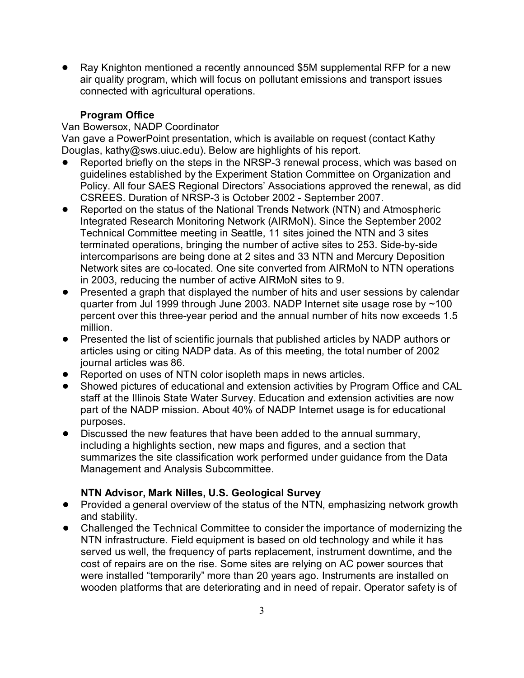• Ray Knighton mentioned a recently announced \$5M supplemental RFP for a new air quality program, which will focus on pollutant emissions and transport issues connected with agricultural operations.

# **Program Office**

Van Bowersox, NADP Coordinator

Van gave a PowerPoint presentation, which is available on request (contact Kathy Douglas, kathy@sws.uiuc.edu). Below are highlights of his report.

- Reported briefly on the steps in the NRSP-3 renewal process, which was based on guidelines established by the Experiment Station Committee on Organization and Policy. All four SAES Regional Directors' Associations approved the renewal, as did CSREES. Duration of NRSP-3 is October 2002 - September 2007.
- Reported on the status of the National Trends Network (NTN) and Atmospheric Integrated Research Monitoring Network (AIRMoN). Since the September 2002 Technical Committee meeting in Seattle, 11 sites joined the NTN and 3 sites terminated operations, bringing the number of active sites to 253. Side-by-side intercomparisons are being done at 2 sites and 33 NTN and Mercury Deposition Network sites are co-located. One site converted from AIRMoN to NTN operations in 2003, reducing the number of active AIRMoN sites to 9.
- ! Presented a graph that displayed the number of hits and user sessions by calendar quarter from Jul 1999 through June 2003. NADP Internet site usage rose by ~100 percent over this three-year period and the annual number of hits now exceeds 1.5 million.
- ! Presented the list of scientific journals that published articles by NADP authors or articles using or citing NADP data. As of this meeting, the total number of 2002 journal articles was 86.
- Reported on uses of NTN color isopleth maps in news articles.
- ! Showed pictures of educational and extension activities by Program Office and CAL staff at the Illinois State Water Survey. Education and extension activities are now part of the NADP mission. About 40% of NADP Internet usage is for educational purposes.
- Discussed the new features that have been added to the annual summary, including a highlights section, new maps and figures, and a section that summarizes the site classification work performed under guidance from the Data Management and Analysis Subcommittee.

# **NTN Advisor, Mark Nilles, U.S. Geological Survey**

- Provided a general overview of the status of the NTN, emphasizing network growth and stability.
- ! Challenged the Technical Committee to consider the importance of modernizing the NTN infrastructure. Field equipment is based on old technology and while it has served us well, the frequency of parts replacement, instrument downtime, and the cost of repairs are on the rise. Some sites are relying on AC power sources that were installed "temporarily" more than 20 years ago. Instruments are installed on wooden platforms that are deteriorating and in need of repair. Operator safety is of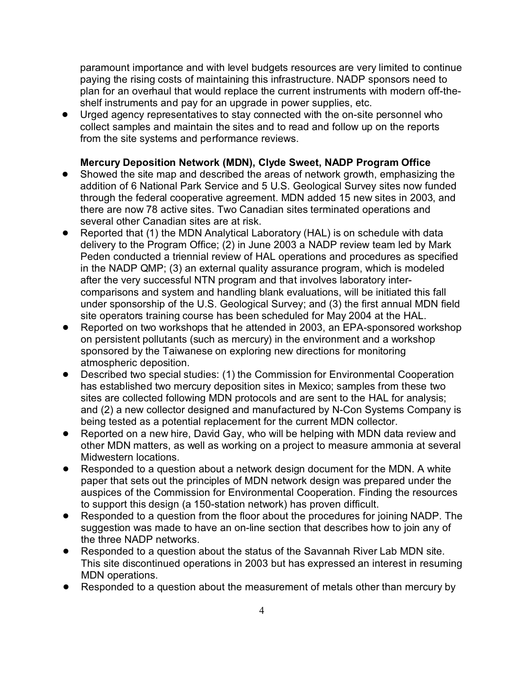paramount importance and with level budgets resources are very limited to continue paying the rising costs of maintaining this infrastructure. NADP sponsors need to plan for an overhaul that would replace the current instruments with modern off-theshelf instruments and pay for an upgrade in power supplies, etc.

! Urged agency representatives to stay connected with the on-site personnel who collect samples and maintain the sites and to read and follow up on the reports from the site systems and performance reviews.

## **Mercury Deposition Network (MDN), Clyde Sweet, NADP Program Office**

- ! Showed the site map and described the areas of network growth, emphasizing the addition of 6 National Park Service and 5 U.S. Geological Survey sites now funded through the federal cooperative agreement. MDN added 15 new sites in 2003, and there are now 78 active sites. Two Canadian sites terminated operations and several other Canadian sites are at risk.
- Reported that (1) the MDN Analytical Laboratory (HAL) is on schedule with data delivery to the Program Office; (2) in June 2003 a NADP review team led by Mark Peden conducted a triennial review of HAL operations and procedures as specified in the NADP QMP; (3) an external quality assurance program, which is modeled after the very successful NTN program and that involves laboratory intercomparisons and system and handling blank evaluations, will be initiated this fall under sponsorship of the U.S. Geological Survey; and (3) the first annual MDN field site operators training course has been scheduled for May 2004 at the HAL.
- Reported on two workshops that he attended in 2003, an EPA-sponsored workshop on persistent pollutants (such as mercury) in the environment and a workshop sponsored by the Taiwanese on exploring new directions for monitoring atmospheric deposition.
- Described two special studies: (1) the Commission for Environmental Cooperation has established two mercury deposition sites in Mexico; samples from these two sites are collected following MDN protocols and are sent to the HAL for analysis; and (2) a new collector designed and manufactured by N-Con Systems Company is being tested as a potential replacement for the current MDN collector.
- Reported on a new hire, David Gay, who will be helping with MDN data review and other MDN matters, as well as working on a project to measure ammonia at several Midwestern locations.
- Responded to a question about a network design document for the MDN. A white paper that sets out the principles of MDN network design was prepared under the auspices of the Commission for Environmental Cooperation. Finding the resources to support this design (a 150-station network) has proven difficult.
- ! Responded to a question from the floor about the procedures for joining NADP. The suggestion was made to have an on-line section that describes how to join any of the three NADP networks.
- ! Responded to a question about the status of the Savannah River Lab MDN site. This site discontinued operations in 2003 but has expressed an interest in resuming MDN operations.
- Responded to a question about the measurement of metals other than mercury by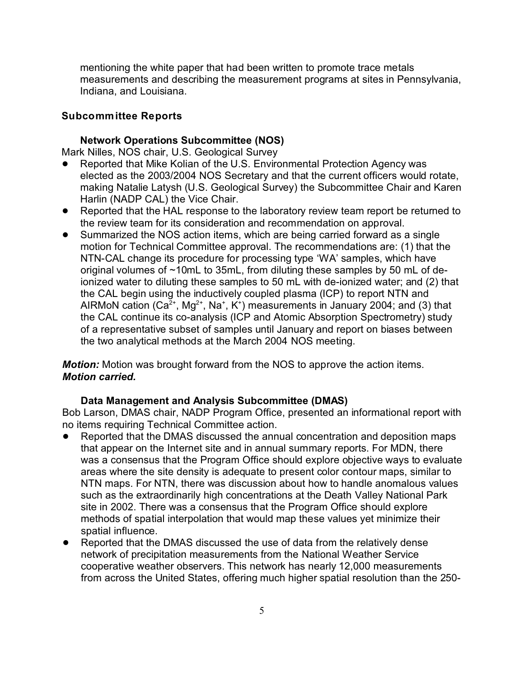mentioning the white paper that had been written to promote trace metals measurements and describing the measurement programs at sites in Pennsylvania, Indiana, and Louisiana.

### **Subcommittee Reports**

#### **Network Operations Subcommittee (NOS)**

Mark Nilles, NOS chair, U.S. Geological Survey

- Reported that Mike Kolian of the U.S. Environmental Protection Agency was elected as the 2003/2004 NOS Secretary and that the current officers would rotate, making Natalie Latysh (U.S. Geological Survey) the Subcommittee Chair and Karen Harlin (NADP CAL) the Vice Chair.
- Reported that the HAL response to the laboratory review team report be returned to the review team for its consideration and recommendation on approval.
- Summarized the NOS action items, which are being carried forward as a single motion for Technical Committee approval. The recommendations are: (1) that the NTN-CAL change its procedure for processing type 'WA' samples, which have original volumes of ~10mL to 35mL, from diluting these samples by 50 mL of deionized water to diluting these samples to 50 mL with de-ionized water; and (2) that the CAL begin using the inductively coupled plasma (ICP) to report NTN and AIRMoN cation (Ca $^{2+}$ , Mg $^{2+}$ , Na $^+$ , K $^+$ ) measurements in January 2004; and (3) that the CAL continue its co-analysis (ICP and Atomic Absorption Spectrometry) study of a representative subset of samples until January and report on biases between the two analytical methods at the March 2004 NOS meeting.

*Motion:* Motion was brought forward from the NOS to approve the action items. *Motion carried.*

#### **Data Management and Analysis Subcommittee (DMAS)**

Bob Larson, DMAS chair, NADP Program Office, presented an informational report with no items requiring Technical Committee action.

- Reported that the DMAS discussed the annual concentration and deposition maps that appear on the Internet site and in annual summary reports. For MDN, there was a consensus that the Program Office should explore objective ways to evaluate areas where the site density is adequate to present color contour maps, similar to NTN maps. For NTN, there was discussion about how to handle anomalous values such as the extraordinarily high concentrations at the Death Valley National Park site in 2002. There was a consensus that the Program Office should explore methods of spatial interpolation that would map these values yet minimize their spatial influence.
- Reported that the DMAS discussed the use of data from the relatively dense network of precipitation measurements from the National Weather Service cooperative weather observers. This network has nearly 12,000 measurements from across the United States, offering much higher spatial resolution than the 250-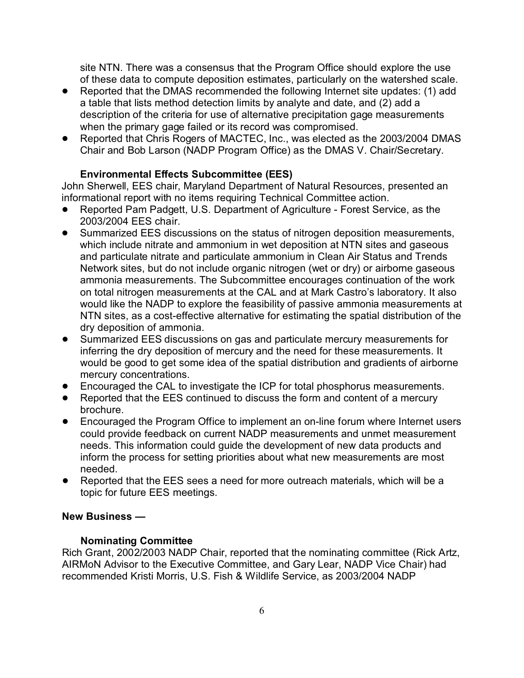site NTN. There was a consensus that the Program Office should explore the use of these data to compute deposition estimates, particularly on the watershed scale.

- ! Reported that the DMAS recommended the following Internet site updates: (1) add a table that lists method detection limits by analyte and date, and (2) add a description of the criteria for use of alternative precipitation gage measurements when the primary gage failed or its record was compromised.
- Reported that Chris Rogers of MACTEC, Inc., was elected as the 2003/2004 DMAS Chair and Bob Larson (NADP Program Office) as the DMAS V. Chair/Secretary.

# **Environmental Effects Subcommittee (EES)**

John Sherwell, EES chair, Maryland Department of Natural Resources, presented an informational report with no items requiring Technical Committee action.

- Reported Pam Padgett, U.S. Department of Agriculture Forest Service, as the 2003/2004 EES chair.
- ! Summarized EES discussions on the status of nitrogen deposition measurements, which include nitrate and ammonium in wet deposition at NTN sites and gaseous and particulate nitrate and particulate ammonium in Clean Air Status and Trends Network sites, but do not include organic nitrogen (wet or dry) or airborne gaseous ammonia measurements. The Subcommittee encourages continuation of the work on total nitrogen measurements at the CAL and at Mark Castro's laboratory. It also would like the NADP to explore the feasibility of passive ammonia measurements at NTN sites, as a cost-effective alternative for estimating the spatial distribution of the dry deposition of ammonia.
- ! Summarized EES discussions on gas and particulate mercury measurements for inferring the dry deposition of mercury and the need for these measurements. It would be good to get some idea of the spatial distribution and gradients of airborne mercury concentrations.
- ! Encouraged the CAL to investigate the ICP for total phosphorus measurements.
- ! Reported that the EES continued to discuss the form and content of a mercury brochure.
- ! Encouraged the Program Office to implement an on-line forum where Internet users could provide feedback on current NADP measurements and unmet measurement needs. This information could guide the development of new data products and inform the process for setting priorities about what new measurements are most needed.
- Reported that the EES sees a need for more outreach materials, which will be a topic for future EES meetings.

## **New Business —**

## **Nominating Committee**

Rich Grant, 2002/2003 NADP Chair, reported that the nominating committee (Rick Artz, AIRMoN Advisor to the Executive Committee, and Gary Lear, NADP Vice Chair) had recommended Kristi Morris, U.S. Fish & Wildlife Service, as 2003/2004 NADP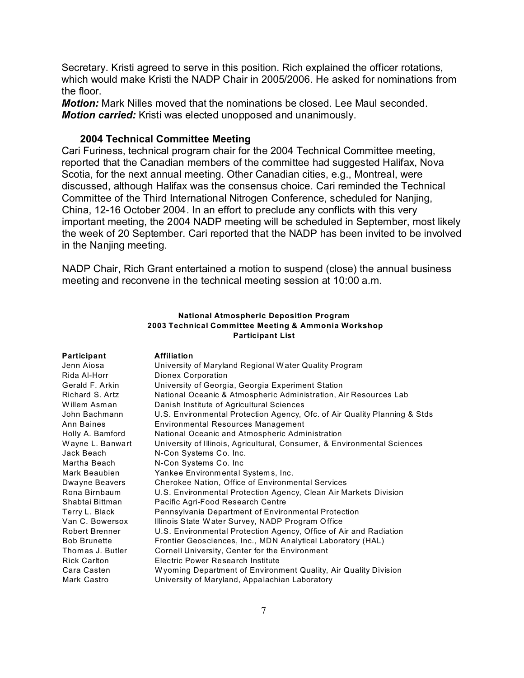Secretary. Kristi agreed to serve in this position. Rich explained the officer rotations, which would make Kristi the NADP Chair in 2005/2006. He asked for nominations from the floor.

*Motion:* Mark Nilles moved that the nominations be closed. Lee Maul seconded. *Motion carried:* Kristi was elected unopposed and unanimously.

#### **2004 Technical Committee Meeting**

Cari Furiness, technical program chair for the 2004 Technical Committee meeting, reported that the Canadian members of the committee had suggested Halifax, Nova Scotia, for the next annual meeting. Other Canadian cities, e.g., Montreal, were discussed, although Halifax was the consensus choice. Cari reminded the Technical Committee of the Third International Nitrogen Conference, scheduled for Nanjing, China, 12-16 October 2004. In an effort to preclude any conflicts with this very important meeting, the 2004 NADP meeting will be scheduled in September, most likely the week of 20 September. Cari reported that the NADP has been invited to be involved in the Nanjing meeting.

NADP Chair, Rich Grant entertained a motion to suspend (close) the annual business meeting and reconvene in the technical meeting session at 10:00 a.m.

#### **National Atmospheric Deposition Program 2003 Technical Committee Meeting & Ammonia Workshop Participant List**

| Participant         | <b>Affiliation</b>                                                        |
|---------------------|---------------------------------------------------------------------------|
| Jenn Aiosa          | University of Maryland Regional Water Quality Program                     |
| Rida Al-Horr        | Dionex Corporation                                                        |
| Gerald F. Arkin     | University of Georgia, Georgia Experiment Station                         |
| Richard S. Artz     | National Oceanic & Atmospheric Administration, Air Resources Lab          |
| Willem Asman        | Danish Institute of Agricultural Sciences                                 |
| John Bachmann       | U.S. Environmental Protection Agency, Ofc. of Air Quality Planning & Stds |
| Ann Baines          | <b>Environmental Resources Management</b>                                 |
| Holly A. Bamford    | National Oceanic and Atmospheric Administration                           |
| Wayne L. Banwart    | University of Illinois, Agricultural, Consumer, & Environmental Sciences  |
| Jack Beach          | N-Con Systems Co. Inc.                                                    |
| Martha Beach        | N-Con Systems Co. Inc                                                     |
| Mark Beaubien       | Yankee Environmental Systems, Inc.                                        |
| Dwayne Beavers      | Cherokee Nation, Office of Environmental Services                         |
| Rona Birnbaum       | U.S. Environmental Protection Agency, Clean Air Markets Division          |
| Shabtai Bittman     | Pacific Agri-Food Research Centre                                         |
| Terry L. Black      | Pennsylvania Department of Environmental Protection                       |
| Van C. Bowersox     | Illinois State Water Survey, NADP Program Office                          |
| Robert Brenner      | U.S. Environmental Protection Agency, Office of Air and Radiation         |
| <b>Bob Brunette</b> | Frontier Geosciences, Inc., MDN Analytical Laboratory (HAL)               |
| Thomas J. Butler    | Cornell University, Center for the Environment                            |
| <b>Rick Carlton</b> | Electric Power Research Institute                                         |
| Cara Casten         | Wyoming Department of Environment Quality, Air Quality Division           |
| Mark Castro         | University of Maryland, Appalachian Laboratory                            |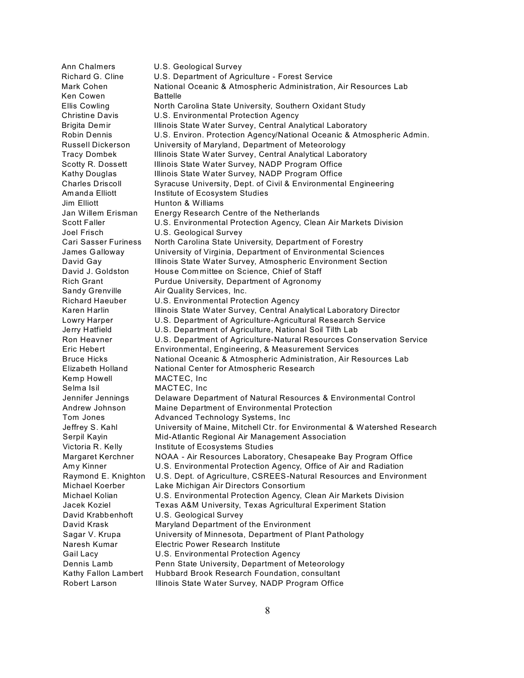Ann Chalmers U.S. Geological Survey Richard G. Cline U.S. Department of Agriculture - Forest Service Mark Cohen **National Oceanic & Atmospheric Administration**, Air Resources Lab Ken Cowen Battelle Ellis Cowling **North Carolina State University, Southern Oxidant Study** Christine Davis U.S. Environmental Protection Agency Brigita Demir Illinois State Water Survey, Central Analytical Laboratory Robin Dennis U.S. Environ. Protection Agency/National Oceanic & Atmospheric Admin. Russell Dickerson University of Maryland, Department of Meteorology Tracy Dombek Illinois State Water Survey, Central Analytical Laboratory Scotty R. Dossett Illinois State Water Survey, NADP Program Office Kathy Douglas Illinois State Water Survey, NADP Program Office Charles Driscoll Syracuse University, Dept. of Civil & Environmental Engineering Am and a Elliott Institute of Ecosystem Studies Jim Elliott **Hunton & Williams** Jan Willem Erisman Energy Research Centre of the Netherlands Scott Faller U.S. Environmental Protection Agency, Clean Air Markets Division Joel Frisch U.S. Geological Survey Cari Sasser Furiness North Carolina State University, Department of Forestry James Galloway University of Virginia, Department of Environmental Sciences David Gay Illinois State Water Survey, Atmospheric Environment Section David J. Goldston House Committee on Science, Chief of Staff Rich Grant **Purdue University, Department of Agronomy** Sandy Grenville Air Quality Services, Inc. Richard Haeuber U.S. Environmental Protection Agency Karen Harlin **Illinois State Water Survey, Central Analytical Laboratory Director** Lowry Harper U.S. Department of Agriculture-Agricultural Research Service Jerry Hatfield U.S. Department of Agriculture, National Soil Tilth Lab Ron Heavner U.S. Department of Agriculture-Natural Resources Conservation Service Eric Hebert Environmental, Engineering, & Measurement Services Bruce Hicks **National Oceanic & Atmospheric Administration**, Air Resources Lab Elizabeth Holland National Center for Atmospheric Research Kemp Howell MACTEC, Inc Selma Isil MACTEC, Inc. Jennifer Jennings Delaware Department of Natural Resources & Environmental Control Andrew Johnson Maine Department of Environmental Protection Tom Jones Advanced Technology Systems, Inc Jeffrey S. Kahl University of Maine, Mitchell Ctr. for Environmental & Watershed Research Serpil Kayin Mid-Atlantic Regional Air Management Association Victoria R. Kelly **Institute of Ecosystems Studies** Margaret Kerchner NOAA - Air Resources Laboratory, Chesapeake Bay Program Office Amy Kinner U.S. Environmental Protection Agency, Office of Air and Radiation Raymond E. Knighton U.S. Dept. of Agriculture, CSREES-Natural Resources and Environment Michael Koerber Lake Michigan Air Directors Consortium Michael Kolian U.S. Environmental Protection Agency, Clean Air Markets Division Jacek Koziel Texas A&M University, Texas Agricultural Experiment Station David Krabbenhoft U.S. Geological Survey David Krask Maryland Department of the Environment Sagar V. Krupa University of Minnesota, Department of Plant Pathology Naresh Kumar Electric Power Research Institute Gail Lacy U.S. Environmental Protection Agency Dennis Lamb Penn State University, Department of Meteorology Kathy Fallon Lambert Hubbard Brook Research Foundation, consultant Robert Larson Illinois State Water Survey, NADP Program Office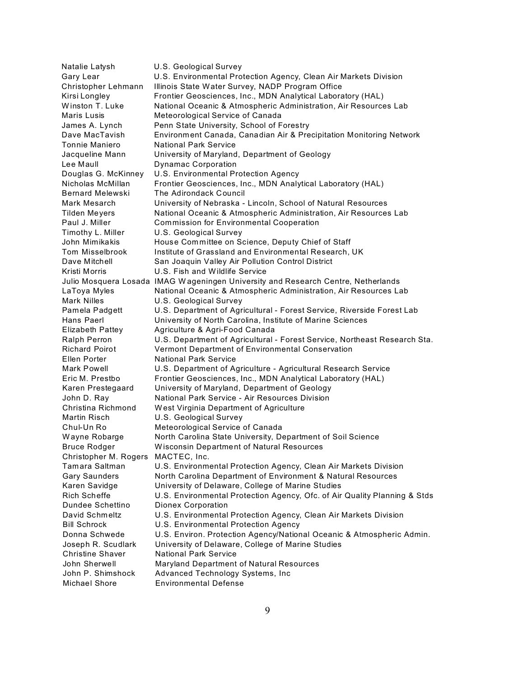Natalie Latysh U.S. Geological Survey Gary Lear U.S. Environmental Protection Agency, Clean Air Markets Division Christopher Lehmann Illinois State Water Survey, NADP Program Office Kirsi Longley Frontier Geosciences, Inc., MDN Analytical Laboratory (HAL) Winston T. Luke National Oceanic & Atmospheric Administration, Air Resources Lab Maris Lusis Meteorological Service of Canada James A. Lynch Penn State University, School of Forestry Dave MacTavish Environment Canada, Canadian Air & Precipitation Monitoring Network Tonnie Maniero National Park Service Jacqueline Mann University of Maryland, Department of Geology Lee Maull **Dynamac Corporation** Douglas G. McKinney U.S. Environmental Protection Agency Nicholas McMillan Frontier Geosciences, Inc., MDN Analytical Laboratory (HAL) Bernard Melewski The Adirondack Council Mark Mesarch University of Nebraska - Lincoln, School of Natural Resources Tilden Meyers National Oceanic & Atmospheric Administration, Air Resources Lab Paul J. Miller **Commission for Environmental Cooperation** Timothy L. Miller U.S. Geological Survey John Mimikakis House Com mittee on Science, Deputy Chief of Staff Tom Misselbrook Institute of Grassland and Environmental Research, UK Dave Mitchell San Joaquin Valley Air Pollution Control District Kristi Morris U.S. Fish and Wildlife Service Julio Mosquera Losada IMAG W ageningen University and Research Centre, Netherlands LaToya Myles National Oceanic & Atmospheric Administration, Air Resources Lab Mark Nilles **U.S. Geological Survey** Pamela Padgett U.S. Department of Agricultural - Forest Service, Riverside Forest Lab Hans Paerl University of North Carolina, Institute of Marine Sciences Elizabeth Pattey Agriculture & Agri-Food Canada Ralph Perron U.S. Department of Agricultural - Forest Service, Northeast Research Sta.<br>Richard Poirot Vermont Department of Environmental Conservation Vermont Department of Environmental Conservation Ellen Porter **National Park Service** Mark Powell U.S. Department of Agriculture - Agricultural Research Service Eric M. Prestbo Frontier Geosciences, Inc., MDN Analytical Laboratory (HAL) Karen Prestegaard University of Maryland, Department of Geology John D. Ray National Park Service - Air Resources Division Christina Richmond W est Virginia Department of Agriculture Martin Risch **U.S. Geological Survey** Chul-Un Ro Meteorological Service of Canada Wayne Robarge Morth Carolina State University, Department of Soil Science Bruce Rodger W isconsin Department of Natural Resources Christopher M. Rogers MACTEC, Inc. Tamara Saltman U.S. Environmental Protection Agency, Clean Air Markets Division Gary Saunders North Carolina Department of Environment & Natural Resources Karen Savidge University of Delaware, College of Marine Studies Rich Scheffe U.S. Environmental Protection Agency, Ofc. of Air Quality Planning & Stds Dundee Schettino Dionex Corporation David Schmeltz U.S. Environmental Protection Agency, Clean Air Markets Division Bill Schrock U.S. Environmental Protection Agency Donna Schwede U.S. Environ. Protection Agency/National Oceanic & Atmospheric Admin. Joseph R. Scudlark University of Delaware, College of Marine Studies Christine Shaver National Park Service John Sherwell Maryland Department of Natural Resources John P. Shimshock Advanced Technology Systems, Inc Michael Shore Environmental Defense